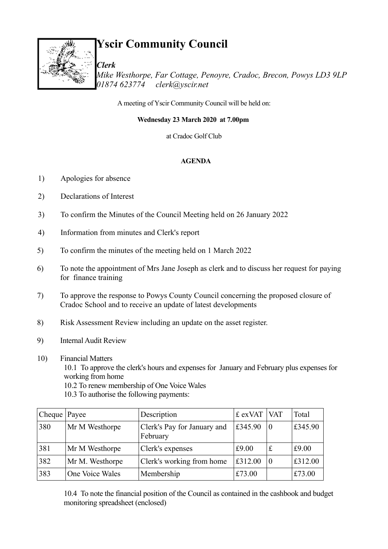

# **Yscir Community Council**

*Clerk Mike Westhorpe, Far Cottage, Penoyre, Cradoc, Brecon, Powys LD3 9LP 01874 623774 clerk@yscir.net*

A meeting of Yscir Community Council will be held on:

**Wednesday 23 March 2020 at 7.00pm** 

at Cradoc Golf Club

#### **AGENDA**

- 1) Apologies for absence
- 2) Declarations of Interest
- 3) To confirm the Minutes of the Council Meeting held on 26 January 2022
- 4) Information from minutes and Clerk's report
- 5) To confirm the minutes of the meeting held on 1 March 2022
- 6) To note the appointment of Mrs Jane Joseph as clerk and to discuss her request for paying for finance training
- 7) To approve the response to Powys County Council concerning the proposed closure of Cradoc School and to receive an update of latest developments
- 8) Risk Assessment Review including an update on the asset register.
- 9) Internal Audit Review
- 10) Financial Matters

10.1 To approve the clerk's hours and expenses for January and February plus expenses for working from home

10.2 To renew membership of One Voice Wales

10.3 To authorise the following payments:

| Cheque $\vert$ Payee |                 | Description                             | £ $exVAT$   VAT |             | Total   |
|----------------------|-----------------|-----------------------------------------|-----------------|-------------|---------|
| 380                  | Mr M Westhorpe  | Clerk's Pay for January and<br>February | £345.90         | 0           | £345.90 |
| 381                  | Mr M Westhorpe  | Clerk's expenses                        | £9.00           | $\mathbf f$ | £9.00   |
| 382                  | Mr M. Westhorpe | Clerk's working from home               | £312.00         | $\Omega$    | £312.00 |
| 383                  | One Voice Wales | Membership                              | £73.00          |             | £73.00  |

10.4 To note the financial position of the Council as contained in the cashbook and budget monitoring spreadsheet (enclosed)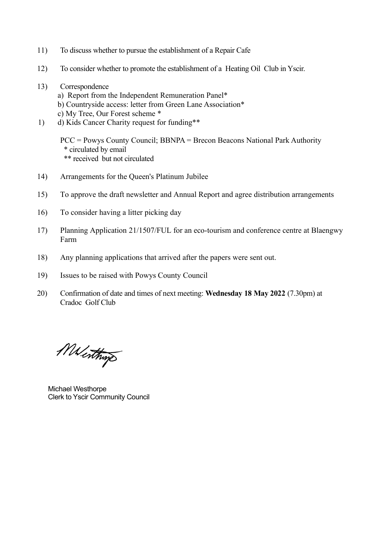- 11) To discuss whether to pursue the establishment of a Repair Cafe
- 12) To consider whether to promote the establishment of a Heating Oil Club in Yscir.
- 13) Correspondence
	- a) Report from the Independent Remuneration Panel\*
	- b) Countryside access: letter from Green Lane Association\*
	- c) My Tree, Our Forest scheme \*
- 1) d) Kids Cancer Charity request for funding\*\*

PCC = Powys County Council; BBNPA = Brecon Beacons National Park Authority \* circulated by email \*\* received but not circulated

- 14) Arrangements for the Queen's Platinum Jubilee
- 15) To approve the draft newsletter and Annual Report and agree distribution arrangements
- 16) To consider having a litter picking day
- 17) Planning Application 21/1507/FUL for an eco-tourism and conference centre at Blaengwy Farm
- 18) Any planning applications that arrived after the papers were sent out.
- 19) Issues to be raised with Powys County Council
- 20) Confirmation of date and times of next meeting: **Wednesday 18 May 2022** (7.30pm) at Cradoc Golf Club

Menthings

 Michael Westhorpe Clerk to Yscir Community Council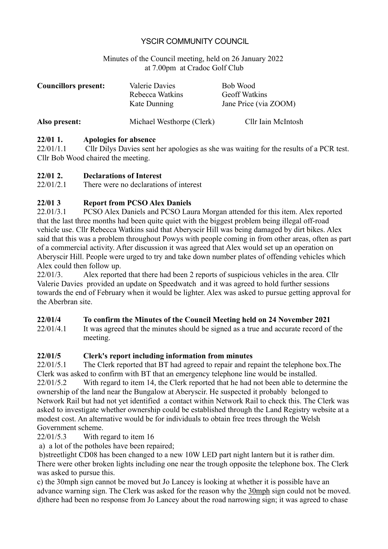#### YSCIR COMMUNITY COUNCIL

Minutes of the Council meeting, held on 26 January 2022 at 7.00pm at Cradoc Golf Club

| <b>Councillors present:</b> | Valerie Davies<br>Rebecca Watkins<br>Kate Dunning | Bob Wood<br><b>Geoff Watkins</b><br>Jane Price (via ZOOM) |
|-----------------------------|---------------------------------------------------|-----------------------------------------------------------|
| Also present:               | Michael Westhorpe (Clerk)                         | Cllr Iain McIntosh                                        |

#### **22/01 1. Apologies for absence**

22/01/1.1 Cllr Dilys Davies sent her apologies as she was waiting for the results of a PCR test. Cllr Bob Wood chaired the meeting.

# **22/01 2. Declarations of Interest**<br>22/01/2.1 There were no declaration

There were no declarations of interest

#### **22/01 3 Report from PCSO Alex Daniels**

22.01/3.1 PCSO Alex Daniels and PCSO Laura Morgan attended for this item. Alex reported that the last three months had been quite quiet with the biggest problem being illegal off-road vehicle use. Cllr Rebecca Watkins said that Aberyscir Hill was being damaged by dirt bikes. Alex said that this was a problem throughout Powys with people coming in from other areas, often as part of a commercial activity. After discussion it was agreed that Alex would set up an operation on Aberyscir Hill. People were urged to try and take down number plates of offending vehicles which Alex could then follow up.

22/01/3. Alex reported that there had been 2 reports of suspicious vehicles in the area. Cllr Valerie Davies provided an update on Speedwatch and it was agreed to hold further sessions towards the end of February when it would be lighter. Alex was asked to pursue getting approval for the Aberbran site.

#### **22/01/4 To confirm the Minutes of the Council Meeting held on 24 November 2021**

22/01/4.1 It was agreed that the minutes should be signed as a true and accurate record of the meeting.

#### **22/01/5 Clerk's report including information from minutes**

22/01/5.1 The Clerk reported that BT had agreed to repair and repaint the telephone box.The Clerk was asked to confirm with BT that an emergency telephone line would be installed.

22/01/5.2 With regard to item 14, the Clerk reported that he had not been able to determine the ownership of the land near the Bungalow at Aberyscir. He suspected it probably belonged to Network Rail but had not yet identified a contact within Network Rail to check this. The Clerk was asked to investigate whether ownership could be established through the Land Registry website at a modest cost. An alternative would be for individuals to obtain free trees through the Welsh Government scheme.

#### 22/01/5.3 With regard to item 16

a) a lot of the potholes have been repaired;

 b)streetlight CD08 has been changed to a new 10W LED part night lantern but it is rather dim. There were other broken lights including one near the trough opposite the telephone box. The Clerk was asked to pursue this.

c) the 30mph sign cannot be moved but Jo Lancey is looking at whether it is possible have an advance warning sign. The Clerk was asked for the reason why the 30mph sign could not be moved. d)there had been no response from Jo Lancey about the road narrowing sign; it was agreed to chase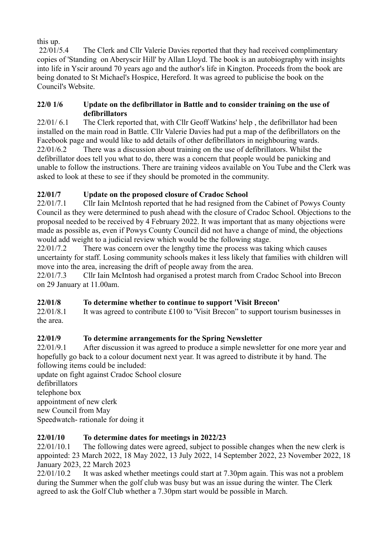this up.

 22/01/5.4 The Clerk and Cllr Valerie Davies reported that they had received complimentary copies of 'Standing on Aberyscir Hill' by Allan Lloyd. The book is an autobiography with insights into life in Yscir around 70 years ago and the author's life in Kington. Proceeds from the book are being donated to St Michael's Hospice, Hereford. It was agreed to publicise the book on the Council's Website.

#### **22/0 1/6 Update on the defibrillator in Battle and to consider training on the use of defibrillators**

22/01/ 6.1 The Clerk reported that, with Cllr Geoff Watkins' help , the defibrillator had been installed on the main road in Battle. Cllr Valerie Davies had put a map of the defibrillators on the Facebook page and would like to add details of other defibrillators in neighbouring wards. 22/01/6.2 There was a discussion about training on the use of defibrillators. Whilst the defibrillator does tell you what to do, there was a concern that people would be panicking and unable to follow the instructions. There are training videos available on You Tube and the Clerk was asked to look at these to see if they should be promoted in the community.

#### **22/01/7 Update on the proposed closure of Cradoc School**

22/01/7.1 Cllr Iain McIntosh reported that he had resigned from the Cabinet of Powys County Council as they were determined to push ahead with the closure of Cradoc School. Objections to the proposal needed to be received by 4 February 2022. It was important that as many objections were made as possible as, even if Powys County Council did not have a change of mind, the objections would add weight to a judicial review which would be the following stage.

22/01/7.2 There was concern over the lengthy time the process was taking which causes uncertainty for staff. Losing community schools makes it less likely that families with children will move into the area, increasing the drift of people away from the area.

22/01/7.3 Cllr Iain McIntosh had organised a protest march from Cradoc School into Brecon on 29 January at 11.00am.

#### **22/01/8 To determine whether to continue to support 'Visit Brecon'**

22/01/8.1 It was agreed to contribute £100 to 'Visit Brecon" to support tourism businesses in the area.

#### **22/01/9 To determine arrangements for the Spring Newsletter**

22/01/9.1 After discussion it was agreed to produce a simple newsletter for one more year and hopefully go back to a colour document next year. It was agreed to distribute it by hand. The following items could be included:

update on fight against Cradoc School closure defibrillators telephone box appointment of new clerk new Council from May Speedwatch- rationale for doing it

#### **22/01/10 To determine dates for meetings in 2022/23**

22/01/10.1 The following dates were agreed, subject to possible changes when the new clerk is appointed: 23 March 2022, 18 May 2022, 13 July 2022, 14 September 2022, 23 November 2022, 18 January 2023, 22 March 2023

22/01/10.2 It was asked whether meetings could start at 7.30pm again. This was not a problem during the Summer when the golf club was busy but was an issue during the winter. The Clerk agreed to ask the Golf Club whether a 7.30pm start would be possible in March.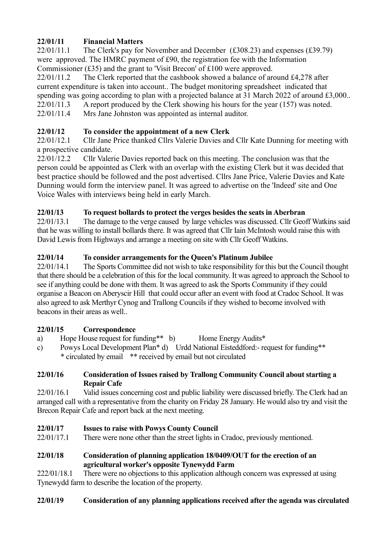#### **22/01/11 Financial Matters**

22/01/11.1 The Clerk's pay for November and December (£308.23) and expenses (£39.79) were approved. The HMRC payment of £90, the registration fee with the Information Commissioner (£35) and the grant to 'Visit Brecon' of £100 were approved.

22/01/11.2 The Clerk reported that the cashbook showed a balance of around £4,278 after current expenditure is taken into account.. The budget monitoring spreadsheet indicated that spending was going according to plan with a projected balance at 31 March 2022 of around £3,000..

- 22/01/11.3 A report produced by the Clerk showing his hours for the year (157) was noted.
- 22/01/11.4 Mrs Jane Johnston was appointed as internal auditor.

#### **22/01/12 To consider the appointment of a new Clerk**

22/01/12.1 Cllr Jane Price thanked Cllrs Valerie Davies and Cllr Kate Dunning for meeting with a prospective candidate.

22/01/12.2 Cllr Valerie Davies reported back on this meeting. The conclusion was that the person could be appointed as Clerk with an overlap with the existing Clerk but it was decided that best practice should be followed and the post advertised. Cllrs Jane Price, Valerie Davies and Kate Dunning would form the interview panel. It was agreed to advertise on the 'Indeed' site and One Voice Wales with interviews being held in early March.

#### **22/01/13 To request bollards to protect the verges besides the seats in Aberbran**

22/01/13.1 The damage to the verge caused by large vehicles was discussed. Cllr Geoff Watkins said that he was willing to install bollards there. It was agreed that Cllr Iain McIntosh would raise this with David Lewis from Highways and arrange a meeting on site with Cllr Geoff Watkins.

#### **22/01/14 To consider arrangements for the Queen's Platinum Jubilee**

22/01/14.1 The Sports Committee did not wish to take responsibility for this but the Council thought that there should be a celebration of this for the local community. It was agreed to approach the School to see if anything could be done with them. It was agreed to ask the Sports Community if they could organise a Beacon on Aberyscir Hill that could occur after an event with food at Cradoc School. It was also agreed to ask Merthyr Cynog and Trallong Councils if they wished to become involved with beacons in their areas as well..

#### **22/01/15 Correspondence**

- a) Hope House request for funding\*\* b) Home Energy Audits\*
- c) Powys Local Development Plan\* d) Urdd National Eisteddford:- request for funding\*\* \* circulated by email \*\* received by email but not circulated

#### **22/01/16 Consideration of Issues raised by Trallong Community Council about starting a Repair Cafe**

22/01/16.1 Valid issues concerning cost and public liability were discussed briefly. The Clerk had an arranged call with a representative from the charity on Friday 28 January. He would also try and visit the Brecon Repair Cafe and report back at the next meeting.

#### **22/01/17 Issues to raise with Powys County Council**

22/01/17.1 There were none other than the street lights in Cradoc, previously mentioned.

#### **22/01/18 Consideration of planning application 18/0409/OUT for the erection of an agricultural worker's opposite Tynewydd Farm**

222/01/18.1 There were no objections to this application although concern was expressed at using Tynewydd farm to describe the location of the property.

#### **22/01/19 Consideration of any planning applications received after the agenda was circulated**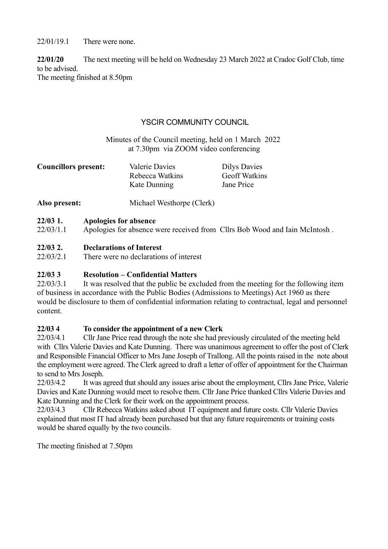22/01/19.1 There were none.

**22/01/20** The next meeting will be held on Wednesday 23 March 2022 at Cradoc Golf Club, time to be advised.

The meeting finished at 8.50pm

#### YSCIR COMMUNITY COUNCIL

#### Minutes of the Council meeting, held on 1 March 2022 at 7.30pm via ZOOM video conferencing

| <b>Councillors present:</b> | Valerie Davies            | <b>Dilys Davies</b>  |
|-----------------------------|---------------------------|----------------------|
|                             | Rebecca Watkins           | <b>Geoff Watkins</b> |
|                             | Kate Dunning              | Jane Price           |
| Also present:               | Michael Westhorpe (Clerk) |                      |

#### **22/03 1. Apologies for absence**

22/03/1.1 Apologies for absence were received from Cllrs Bob Wood and Iain McIntosh .

#### **22/03 2. Declarations of Interest**

22/03/2.1 There were no declarations of interest

#### **22/03 3 Resolution – Confidential Matters**

22/03/3.1 It was resolved that the public be excluded from the meeting for the following item of business in accordance with the Public Bodies (Admissions to Meetings) Act 1960 as there would be disclosure to them of confidential information relating to contractual, legal and personnel content.

#### **22/03 4 To consider the appointment of a new Clerk**

22/03/4.1 Cllr Jane Price read through the note she had previously circulated of the meeting held with Cllrs Valerie Davies and Kate Dunning. There was unanimous agreement to offer the post of Clerk and Responsible Financial Officer to Mrs Jane Joseph of Trallong. All the points raised in the note about the employment were agreed. The Clerk agreed to draft a letter of offer of appointment for the Chairman to send to Mrs Joseph.

22/03/4.2 It was agreed that should any issues arise about the employment, Cllrs Jane Price, Valerie Davies and Kate Dunning would meet to resolve them. Cllr Jane Price thanked Cllrs Valerie Davies and Kate Dunning and the Clerk for their work on the appointment process.

22/03/4.3 Cllr Rebecca Watkins asked about IT equipment and future costs. Cllr Valerie Davies explained that most IT had already been purchased but that any future requirements or training costs would be shared equally by the two councils.

The meeting finished at 7.50pm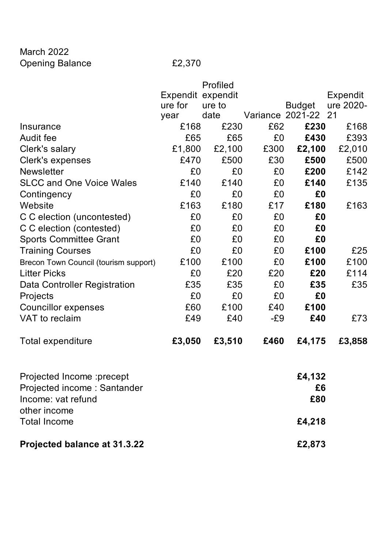March 2022 Opening Balance **E2,370** 

|                                                                                                 |                   | Profiled |                         |                     |           |
|-------------------------------------------------------------------------------------------------|-------------------|----------|-------------------------|---------------------|-----------|
|                                                                                                 | Expendit expendit |          |                         |                     | Expendit  |
|                                                                                                 | ure for           | ure to   |                         | <b>Budget</b>       | ure 2020- |
|                                                                                                 | year              | date     | <b>Variance 2021-22</b> |                     | 21        |
| Insurance                                                                                       | £168              | £230     | £62                     | £230                | £168      |
| <b>Audit fee</b>                                                                                | £65               | £65      | £0                      | £430                | £393      |
| Clerk's salary                                                                                  | £1,800            | £2,100   | £300                    | £2,100              | £2,010    |
| Clerk's expenses                                                                                | £470              | £500     | £30                     | £500                | £500      |
| <b>Newsletter</b>                                                                               | £0                | £0       | £0                      | £200                | £142      |
| <b>SLCC and One Voice Wales</b>                                                                 | £140              | £140     | £0                      | £140                | £135      |
| Contingency                                                                                     | £0                | £0       | £0                      | £0                  |           |
| Website                                                                                         | £163              | £180     | £17                     | £180                | £163      |
| C C election (uncontested)                                                                      | £0                | £0       | £0                      | £0                  |           |
| C C election (contested)                                                                        | £0                | £0       | £0                      | £0                  |           |
| <b>Sports Committee Grant</b>                                                                   | £0                | £0       | £0                      | £0                  |           |
| <b>Training Courses</b>                                                                         | £0                | £0       | £0                      | £100                | £25       |
| Brecon Town Council (tourism support)                                                           | £100              | £100     | £0                      | £100                | £100      |
| <b>Litter Picks</b>                                                                             | £0                | £20      | £20                     | £20                 | £114      |
| Data Controller Registration                                                                    | £35               | £35      | £0                      | £35                 | £35       |
| Projects                                                                                        | £0                | £0       | £0                      | £0                  |           |
| <b>Councillor expenses</b>                                                                      | £60               | £100     | £40                     | £100                |           |
| VAT to reclaim                                                                                  | £49               | £40      | $-E9$                   | £40                 | £73       |
| Total expenditure                                                                               | £3,050            | £3,510   | £460                    | £4,175              | £3,858    |
| Projected Income : precept<br>Projected income: Santander<br>Income: vat refund<br>other income |                   |          |                         | £4,132<br>£6<br>£80 |           |
| <b>Total Income</b>                                                                             |                   |          |                         | £4,218              |           |
| Projected balance at 31.3.22                                                                    |                   |          |                         | £2,873              |           |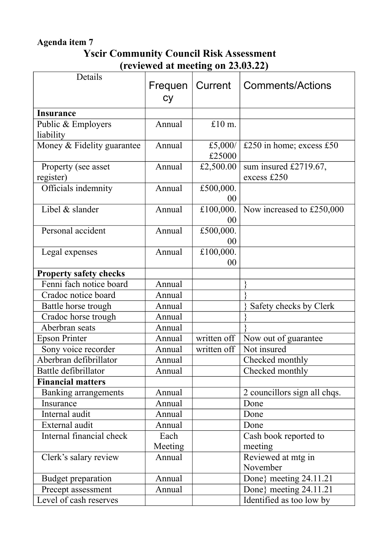## **Agenda item 7**

# **Yscir Community Council Risk Assessment (reviewed at meeting on 23.03.22)**

| Details                       | Frequen<br><b>Cy</b> | Current     | Comments/Actions             |
|-------------------------------|----------------------|-------------|------------------------------|
| <b>Insurance</b>              |                      |             |                              |
| Public & Employers            | Annual               | £10 m.      |                              |
| liability                     |                      |             |                              |
| Money & Fidelity guarantee    | Annual               | £5,000/     | £250 in home; excess £50     |
|                               |                      | £25000      |                              |
| Property (see asset           | Annual               | £2,500.00   | sum insured £2719.67,        |
| register)                     |                      |             | excess £250                  |
| Officials indemnity           | Annual               | £500,000.   |                              |
|                               |                      | 00          |                              |
| Libel & slander               | Annual               | £100,000.   | Now increased to £250,000    |
|                               |                      | 00          |                              |
| Personal accident             | Annual               | £500,000.   |                              |
|                               |                      | 00          |                              |
| Legal expenses                | Annual               | £100,000.   |                              |
|                               |                      | 00          |                              |
| <b>Property safety checks</b> |                      |             |                              |
| Fenni fach notice board       | Annual               |             |                              |
| Cradoc notice board           | Annual               |             |                              |
| Battle horse trough           | Annual               |             | Safety checks by Clerk       |
| Cradoc horse trough           | Annual               |             |                              |
| Aberbran seats                | Annual               |             |                              |
| <b>Epson Printer</b>          | Annual               | written off | Now out of guarantee         |
| Sony voice recorder           | Annual               | written off | Not insured                  |
| Aberbran defibrillator        | Annual               |             | Checked monthly              |
| Battle defibrillator          | Annual               |             | Checked monthly              |
| <b>Financial matters</b>      |                      |             |                              |
| <b>Banking arrangements</b>   | Annual               |             | 2 councillors sign all chqs. |
| Insurance                     | Annual               |             | Done                         |
| Internal audit                | Annual               |             | Done                         |
| External audit                | Annual               |             | Done                         |
| Internal financial check      | Each                 |             | Cash book reported to        |
|                               | Meeting              |             | meeting                      |
| Clerk's salary review         | Annual               |             | Reviewed at mtg in           |
|                               |                      |             | November                     |
| Budget preparation            | Annual               |             | Done} meeting 24.11.21       |
| Precept assessment            | Annual               |             | Done} meeting 24.11.21       |
| Level of cash reserves        |                      |             | Identified as too low by     |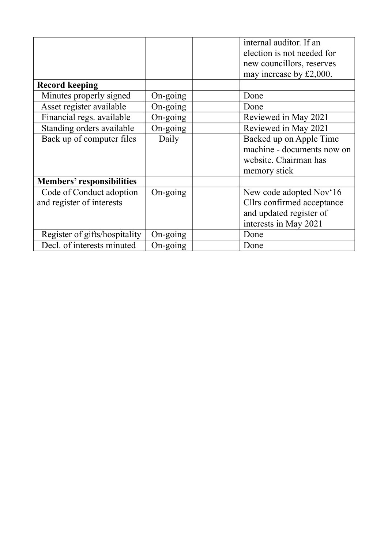|                                  |                   | internal auditor. If an    |
|----------------------------------|-------------------|----------------------------|
|                                  |                   | election is not needed for |
|                                  |                   | new councillors, reserves  |
|                                  |                   | may increase by £2,000.    |
| <b>Record keeping</b>            |                   |                            |
| Minutes properly signed          | $On\text{-going}$ | Done                       |
| Asset register available         | $On\text{-going}$ | Done                       |
| Financial regs. available        | $On-going$        | Reviewed in May 2021       |
| Standing orders available        | On-going          | Reviewed in May 2021       |
| Back up of computer files        | Daily             | Backed up on Apple Time    |
|                                  |                   | machine - documents now on |
|                                  |                   | website. Chairman has      |
|                                  |                   | memory stick               |
| <b>Members' responsibilities</b> |                   |                            |
| Code of Conduct adoption         | $On-going$        | New code adopted Nov'16    |
| and register of interests        |                   | Cllrs confirmed acceptance |
|                                  |                   | and updated register of    |
|                                  |                   | interests in May 2021      |
| Register of gifts/hospitality    | On-going          | Done                       |
| Decl. of interests minuted       | On-going          | Done                       |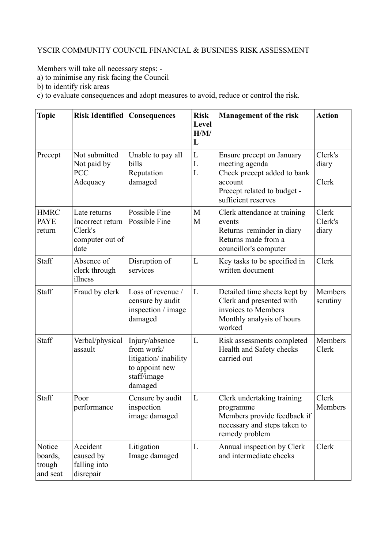#### YSCIR COMMUNITY COUNCIL FINANCIAL & BUSINESS RISK ASSESSMENT

Members will take all necessary steps: -

a) to minimise any risk facing the Council

b) to identify risk areas

c) to evaluate consequences and adopt measures to avoid, reduce or control the risk.

| <b>Topic</b>                            | <b>Risk Identified</b>                                                 | <b>Consequences</b>                                                                              | <b>Risk</b><br><b>Level</b><br>H/M/<br>L | <b>Management of the risk</b>                                                                                                               | <b>Action</b>             |
|-----------------------------------------|------------------------------------------------------------------------|--------------------------------------------------------------------------------------------------|------------------------------------------|---------------------------------------------------------------------------------------------------------------------------------------------|---------------------------|
| Precept                                 | Not submitted<br>Not paid by<br><b>PCC</b><br>Adequacy                 | Unable to pay all<br>bills<br>Reputation<br>damaged                                              | L<br>L<br>L                              | Ensure precept on January<br>meeting agenda<br>Check precept added to bank<br>account<br>Precept related to budget -<br>sufficient reserves | Clerk's<br>diary<br>Clerk |
| <b>HMRC</b><br><b>PAYE</b><br>return    | Late returns<br>Incorrect return<br>Clerk's<br>computer out of<br>date | Possible Fine<br>Possible Fine                                                                   | M<br>M                                   | Clerk attendance at training<br>events<br>Returns reminder in diary<br>Returns made from a<br>councillor's computer                         | Clerk<br>Clerk's<br>diary |
| Staff                                   | Absence of<br>clerk through<br>illness                                 | Disruption of<br>services                                                                        | L                                        | Key tasks to be specified in<br>written document                                                                                            | Clerk                     |
| Staff                                   | Fraud by clerk                                                         | Loss of revenue /<br>censure by audit<br>inspection / image<br>damaged                           | L                                        | Detailed time sheets kept by<br>Clerk and presented with<br>invoices to Members<br>Monthly analysis of hours<br>worked                      | Members<br>scrutiny       |
| Staff                                   | Verbal/physical<br>assault                                             | Injury/absence<br>from work/<br>litigation/inability<br>to appoint new<br>staff/image<br>damaged | L                                        | Risk assessments completed<br>Health and Safety checks<br>carried out                                                                       | Members<br>Clerk          |
| Staff                                   | Poor<br>performance                                                    | Censure by audit<br>inspection<br>image damaged                                                  | L                                        | Clerk undertaking training<br>programme<br>Members provide feedback if<br>necessary and steps taken to<br>remedy problem                    | Clerk<br>Members          |
| Notice<br>boards,<br>trough<br>and seat | Accident<br>caused by<br>falling into<br>disrepair                     | Litigation<br>Image damaged                                                                      | L                                        | Annual inspection by Clerk<br>and intermediate checks                                                                                       | Clerk                     |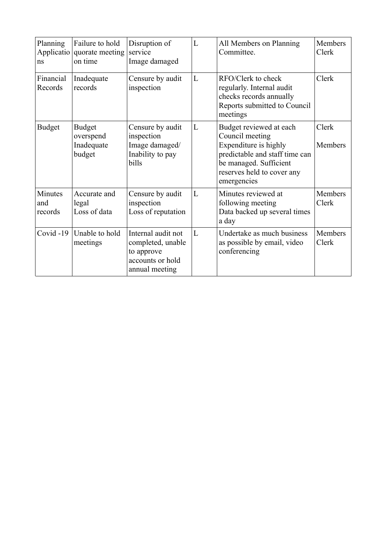| Planning<br>ns            | Failure to hold<br>Applicatio quorate meeting<br>on time | Disruption of<br>service<br>Image damaged                                                   | L | All Members on Planning<br>Committee.                                                                                                                                        | Members<br>Clerk |
|---------------------------|----------------------------------------------------------|---------------------------------------------------------------------------------------------|---|------------------------------------------------------------------------------------------------------------------------------------------------------------------------------|------------------|
| Financial<br>Records      | Inadequate<br>records                                    | Censure by audit<br>inspection                                                              | L | RFO/Clerk to check<br>regularly. Internal audit<br>checks records annually<br>Reports submitted to Council<br>meetings                                                       | Clerk            |
| <b>Budget</b>             | <b>Budget</b><br>overspend<br>Inadequate<br>budget       | Censure by audit<br>inspection<br>Image damaged/<br>Inability to pay<br>bills               | L | Budget reviewed at each<br>Council meeting<br>Expenditure is highly<br>predictable and staff time can<br>be managed. Sufficient<br>reserves held to cover any<br>emergencies | Clerk<br>Members |
| Minutes<br>and<br>records | Accurate and<br>legal<br>Loss of data                    | Censure by audit<br>inspection<br>Loss of reputation                                        | L | Minutes reviewed at<br>following meeting<br>Data backed up several times<br>a day                                                                                            | Members<br>Clerk |
| Covid -19                 | Unable to hold<br>meetings                               | Internal audit not<br>completed, unable<br>to approve<br>accounts or hold<br>annual meeting | L | Undertake as much business<br>as possible by email, video<br>conferencing                                                                                                    | Members<br>Clerk |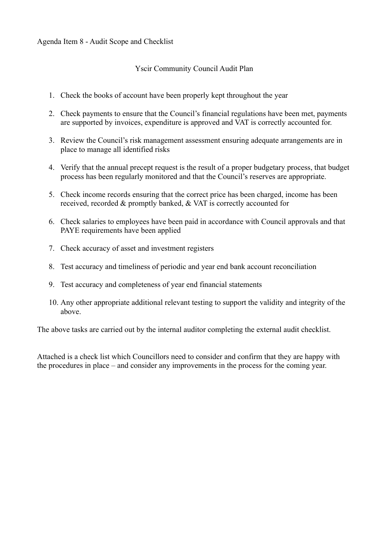#### Yscir Community Council Audit Plan

- 1. Check the books of account have been properly kept throughout the year
- 2. Check payments to ensure that the Council's financial regulations have been met, payments are supported by invoices, expenditure is approved and VAT is correctly accounted for.
- 3. Review the Council's risk management assessment ensuring adequate arrangements are in place to manage all identified risks
- 4. Verify that the annual precept request is the result of a proper budgetary process, that budget process has been regularly monitored and that the Council's reserves are appropriate.
- 5. Check income records ensuring that the correct price has been charged, income has been received, recorded & promptly banked, & VAT is correctly accounted for
- 6. Check salaries to employees have been paid in accordance with Council approvals and that PAYE requirements have been applied
- 7. Check accuracy of asset and investment registers
- 8. Test accuracy and timeliness of periodic and year end bank account reconciliation
- 9. Test accuracy and completeness of year end financial statements
- 10. Any other appropriate additional relevant testing to support the validity and integrity of the above.

The above tasks are carried out by the internal auditor completing the external audit checklist.

Attached is a check list which Councillors need to consider and confirm that they are happy with the procedures in place – and consider any improvements in the process for the coming year.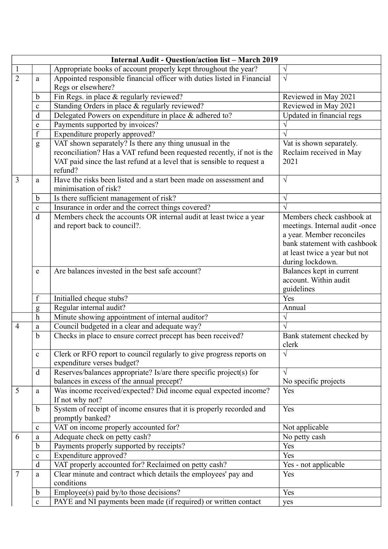|                | <b>Internal Audit - Question/action list - March 2019</b> |                                                                         |                                                           |  |  |  |
|----------------|-----------------------------------------------------------|-------------------------------------------------------------------------|-----------------------------------------------------------|--|--|--|
| $\mathbf{1}$   |                                                           | Appropriate books of account properly kept throughout the year?         |                                                           |  |  |  |
| $\overline{2}$ | a                                                         | Appointed responsible financial officer with duties listed in Financial | $\sqrt{ }$                                                |  |  |  |
|                |                                                           | Regs or elsewhere?                                                      |                                                           |  |  |  |
|                | $\mathbf b$                                               | Fin Regs. in place & regularly reviewed?                                | Reviewed in May 2021                                      |  |  |  |
|                | $\mathbf c$                                               | Standing Orders in place & regularly reviewed?                          | Reviewed in May 2021                                      |  |  |  |
|                | d                                                         | Delegated Powers on expenditure in place & adhered to?                  | Updated in financial regs                                 |  |  |  |
|                | e                                                         | Payments supported by invoices?                                         |                                                           |  |  |  |
|                | f                                                         | Expenditure properly approved?                                          |                                                           |  |  |  |
|                | g                                                         | VAT shown separately? Is there any thing unusual in the                 | Vat is shown separately.                                  |  |  |  |
|                |                                                           | reconciliation? Has a VAT refund been requested recently, if not is the | Reclaim received in May                                   |  |  |  |
|                |                                                           | VAT paid since the last refund at a level that is sensible to request a | 2021                                                      |  |  |  |
|                |                                                           | refund?                                                                 |                                                           |  |  |  |
| $\overline{3}$ | a                                                         | Have the risks been listed and a start been made on assessment and      | $\sqrt{ }$                                                |  |  |  |
|                |                                                           | minimisation of risk?                                                   |                                                           |  |  |  |
|                | $\mathbf b$                                               | Is there sufficient management of risk?                                 | $\sqrt{ }$                                                |  |  |  |
|                | $\mathbf c$                                               | Insurance in order and the correct things covered?                      | $\sqrt{ }$                                                |  |  |  |
|                | d                                                         | Members check the accounts OR internal audit at least twice a year      | Members check cashbook at                                 |  |  |  |
|                |                                                           | and report back to council?.                                            | meetings. Internal audit -once                            |  |  |  |
|                |                                                           |                                                                         | a year. Member reconciles<br>bank statement with cashbook |  |  |  |
|                |                                                           |                                                                         |                                                           |  |  |  |
|                |                                                           |                                                                         | at least twice a year but not<br>during lockdown.         |  |  |  |
|                | e                                                         | Are balances invested in the best safe account?                         | Balances kept in current                                  |  |  |  |
|                |                                                           |                                                                         | account. Within audit                                     |  |  |  |
|                |                                                           |                                                                         | guidelines                                                |  |  |  |
|                | f                                                         | Initialled cheque stubs?                                                | Yes                                                       |  |  |  |
|                | g                                                         | Regular internal audit?                                                 | Annual                                                    |  |  |  |
|                | $\boldsymbol{h}$                                          | Minute showing appointment of internal auditor?                         | V                                                         |  |  |  |
| $\overline{4}$ | a                                                         | Council budgeted in a clear and adequate way?                           |                                                           |  |  |  |
|                | b                                                         | Checks in place to ensure correct precept has been received?            | Bank statement checked by                                 |  |  |  |
|                |                                                           |                                                                         | clerk                                                     |  |  |  |
|                | $\mathbf c$                                               | Clerk or RFO report to council regularly to give progress reports on    | $\sqrt{}$                                                 |  |  |  |
|                |                                                           | expenditure verses budget?                                              |                                                           |  |  |  |
|                | d                                                         | Reserves/balances appropriate? Is/are there specific project(s) for     | $\sqrt{}$                                                 |  |  |  |
|                |                                                           | balances in excess of the annual precept?                               | No specific projects                                      |  |  |  |
| 5              | a                                                         | Was income received/expected? Did income equal expected income?         | Yes                                                       |  |  |  |
|                |                                                           | If not why not?                                                         |                                                           |  |  |  |
|                | b                                                         | System of receipt of income ensures that it is properly recorded and    | Yes                                                       |  |  |  |
|                |                                                           | promptly banked?                                                        |                                                           |  |  |  |
|                | $\mathbf c$                                               | VAT on income properly accounted for?                                   | Not applicable                                            |  |  |  |
| 6              | a                                                         | Adequate check on petty cash?                                           | No petty cash                                             |  |  |  |
|                | b                                                         | Payments properly supported by receipts?                                | Yes                                                       |  |  |  |
|                | $\mathbf{C}$                                              | Expenditure approved?                                                   | Yes                                                       |  |  |  |
|                | d                                                         | VAT properly accounted for? Reclaimed on petty cash?                    | Yes - not applicable                                      |  |  |  |
| $\overline{7}$ | a                                                         | Clear minute and contract which details the employees' pay and          | Yes                                                       |  |  |  |
|                |                                                           | conditions                                                              |                                                           |  |  |  |
|                | b                                                         | Employee(s) paid by/to those decisions?                                 | Yes                                                       |  |  |  |
|                | $\mathbf c$                                               | PAYE and NI payments been made (if required) or written contact         | yes                                                       |  |  |  |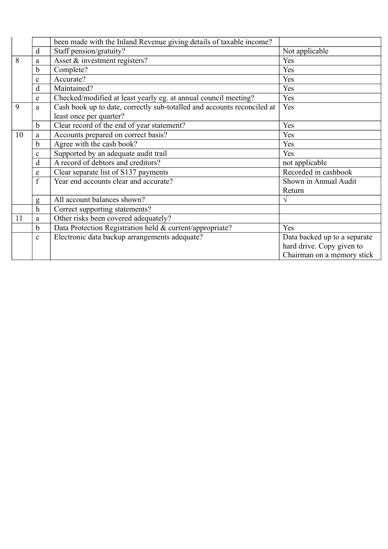|    |                | been made with the Inland Revenue giving details of taxable income?     |                              |
|----|----------------|-------------------------------------------------------------------------|------------------------------|
|    | d              | Staff pension/gratuity?                                                 | Not applicable               |
| 8  | a              | Asset & investment registers?                                           | Yes                          |
|    | b              | Complete?                                                               | Yes                          |
|    | c              | Accurate?                                                               | Yes                          |
|    | d              | Maintained?                                                             | Yes                          |
|    | e              | Checked/modified at least yearly eg. at annual council meeting?         | Yes                          |
| 9  | a              | Cash book up to date, correctly sub-totalled and accounts reconciled at | Yes                          |
|    |                | least once per quarter?                                                 |                              |
|    | $\mathbf b$    | Clear record of the end of year statement?                              | Yes                          |
| 10 | a              | Accounts prepared on correct basis?                                     | Yes                          |
|    | b              | Agree with the cash book?                                               | Yes                          |
|    | c              | Supported by an adequate audit trail                                    | Yes                          |
|    | d              | A record of debtors and creditors?                                      | not applicable               |
|    | e              | Clear separate list of S137 payments                                    | Recorded in cashbook         |
|    | $\overline{f}$ | Year end accounts clear and accurate?                                   | Shown in Annual Audit        |
|    |                |                                                                         | Return                       |
|    | g              | All account balances shown?                                             | V                            |
|    | $\mathbf h$    | Correct supporting statements?                                          |                              |
| 11 | a              | Other risks been covered adequately?                                    |                              |
|    | $\mathbf b$    | Data Protection Registration held & current/appropriate?                | Yes                          |
|    | $\mathbf{c}$   | Electronic data backup arrangements adequate?                           | Data backed up to a separate |
|    |                |                                                                         | hard drive. Copy given to    |
|    |                |                                                                         | Chairman on a memory stick   |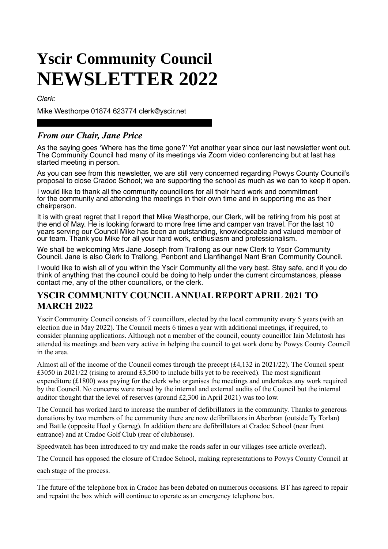# **Yscir Community Council NEWSLETTER 2022**

*Clerk:* 

Mike Westhorpe 01874 623774 clerk@yscir.net

#### *From our Chair, Jane Price*

As the saying goes 'Where has the time gone?' Yet another year since our last newsletter went out. The Community Council had many of its meetings via Zoom video conferencing but at last has started meeting in person.

As you can see from this newsletter, we are still very concerned regarding Powys County Council's proposal to close Cradoc School; we are supporting the school as much as we can to keep it open.

I would like to thank all the community councillors for all their hard work and commitment for the community and attending the meetings in their own time and in supporting me as their chairperson.

It is with great regret that I report that Mike Westhorpe, our Clerk, will be retiring from his post at the end of May. He is looking forward to more free time and camper van travel. For the last 10 years serving our Council Mike has been an outstanding, knowledgeable and valued member of our team. Thank you Mike for all your hard work, enthusiasm and professionalism.

We shall be welcoming Mrs Jane Joseph from Trallong as our new Clerk to Yscir Community Council. Jane is also Clerk to Trallong, Penbont and Llanfihangel Nant Bran Community Council.

I would like to wish all of you within the Yscir Community all the very best. Stay safe, and if you do think of anything that the council could be doing to help under the current circumstances, please contact me, any of the other councillors, or the clerk.

#### **YSCIR COMMUNITY COUNCIL ANNUAL REPORT APRIL 2021 TO MARCH 2022**

Yscir Community Council consists of 7 councillors, elected by the local community every 5 years (with an election due in May 2022). The Council meets 6 times a year with additional meetings, if required, to consider planning applications. Although not a member of the council, county councillor Iain McIntosh has attended its meetings and been very active in helping the council to get work done by Powys County Council in the area.

Almost all of the income of the Council comes through the precept (£4,132 in 2021/22). The Council spent £3050 in 2021/22 (rising to around £3,500 to include bills yet to be received). The most significant expenditure (£1800) was paying for the clerk who organises the meetings and undertakes any work required by the Council. No concerns were raised by the internal and external audits of the Council but the internal auditor thought that the level of reserves (around £2,300 in April 2021) was too low.

The Council has worked hard to increase the number of defibrillators in the community. Thanks to generous donations by two members of the community there are now defibrillators in Aberbran (outside Ty Torlan) and Battle (opposite Heol y Garreg). In addition there are defibrillators at Cradoc School (near front entrance) and at Cradoc Golf Club (rear of clubhouse).

Speedwatch has been introduced to try and make the roads safer in our villages (see article overleaf).

The Council has opposed the closure of Cradoc School, making representations to Powys County Council at

each stage of the process.

The future of the telephone box in Cradoc has been debated on numerous occasions. BT has agreed to repair and repaint the box which will continue to operate as an emergency telephone box.